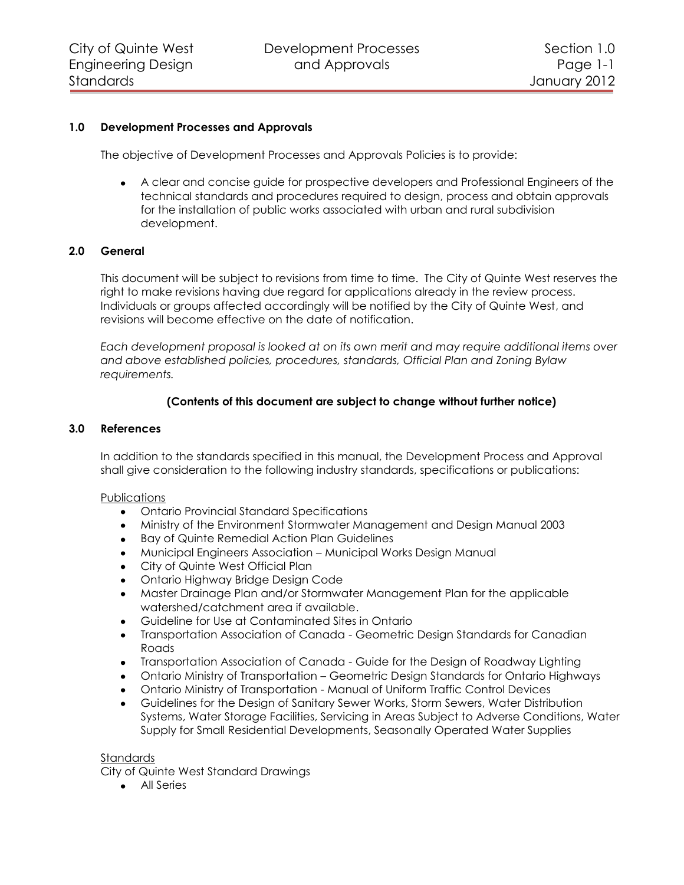# **1.0 Development Processes and Approvals**

The objective of Development Processes and Approvals Policies is to provide:

A clear and concise guide for prospective developers and Professional Engineers of the technical standards and procedures required to design, process and obtain approvals for the installation of public works associated with urban and rural subdivision development.

# **2.0 General**

This document will be subject to revisions from time to time. The City of Quinte West reserves the right to make revisions having due regard for applications already in the review process. Individuals or groups affected accordingly will be notified by the City of Quinte West, and revisions will become effective on the date of notification.

*Each development proposal is looked at on its own merit and may require additional items over and above established policies, procedures, standards, Official Plan and Zoning Bylaw requirements.*

# **(Contents of this document are subject to change without further notice)**

### **3.0 References**

In addition to the standards specified in this manual, the Development Process and Approval shall give consideration to the following industry standards, specifications or publications:

# **Publications**

- Ontario Provincial Standard Specifications
- Ministry of the Environment Stormwater Management and Design Manual 2003
- Bay of Quinte Remedial Action Plan Guidelines
- Municipal Engineers Association Municipal Works Design Manual
- City of Quinte West Official Plan
- Ontario Highway Bridge Design Code
- $\bullet$ Master Drainage Plan and/or Stormwater Management Plan for the applicable watershed/catchment area if available.
- Guideline for Use at Contaminated Sites in Ontario
- Transportation Association of Canada Geometric Design Standards for Canadian Roads
- Transportation Association of Canada Guide for the Design of Roadway Lighting
- Ontario Ministry of Transportation Geometric Design Standards for Ontario Highways
- Ontario Ministry of Transportation Manual of Uniform Traffic Control Devices
- Guidelines for the Design of Sanitary Sewer Works, Storm Sewers, Water Distribution  $\bullet$ Systems, Water Storage Facilities, Servicing in Areas Subject to Adverse Conditions, Water Supply for Small Residential Developments, Seasonally Operated Water Supplies

#### Standards

City of Quinte West Standard Drawings

• All Series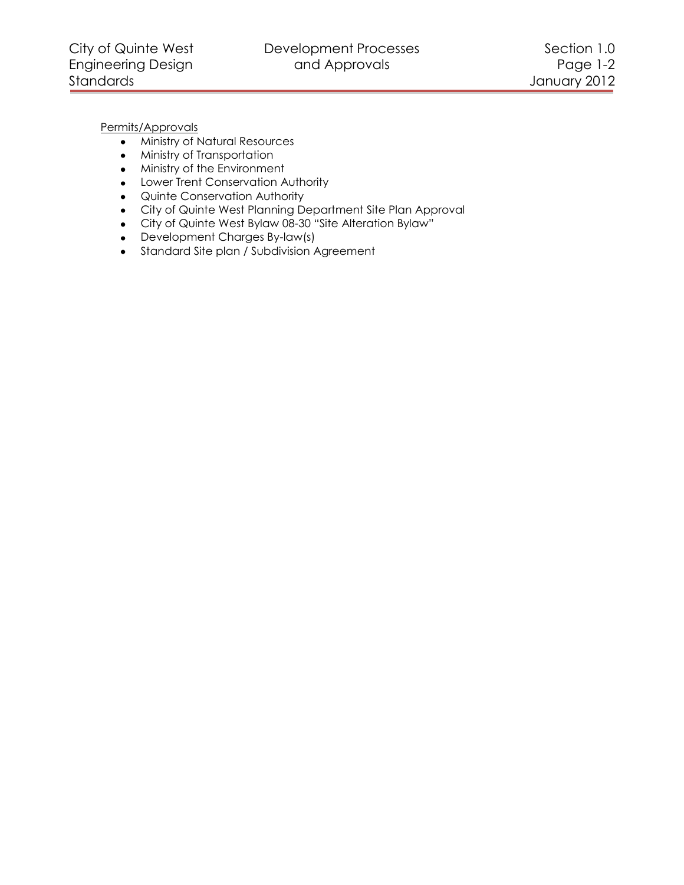Permits/Approvals

- Ministry of Natural Resources
- Ministry of Transportation
- Ministry of the Environment
- Lower Trent Conservation Authority
- Quinte Conservation Authority
- City of Quinte West Planning Department Site Plan Approval
- City of Quinte West Bylaw 08-30 "Site Alteration Bylaw"
- Development Charges By-law(s)
- Standard Site plan / Subdivision Agreement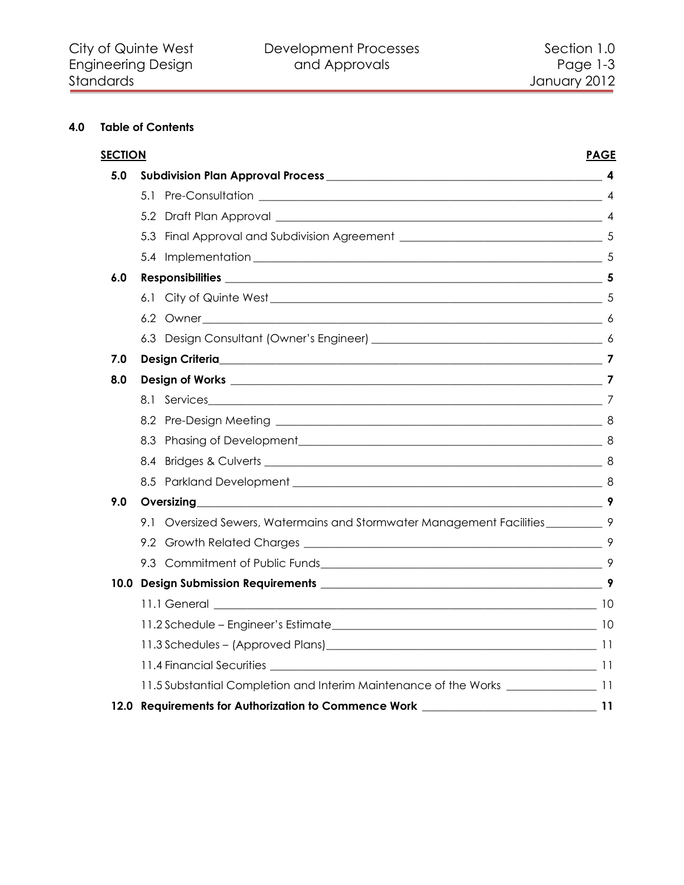# **4.0 Table of Contents**

| <b>SECTION</b> |                                                                                   | <b>PAGE</b> |  |  |  |  |  |
|----------------|-----------------------------------------------------------------------------------|-------------|--|--|--|--|--|
| 5.0            |                                                                                   |             |  |  |  |  |  |
|                |                                                                                   |             |  |  |  |  |  |
|                |                                                                                   |             |  |  |  |  |  |
|                |                                                                                   |             |  |  |  |  |  |
|                |                                                                                   |             |  |  |  |  |  |
| 6.0            |                                                                                   |             |  |  |  |  |  |
|                |                                                                                   |             |  |  |  |  |  |
|                |                                                                                   |             |  |  |  |  |  |
|                |                                                                                   |             |  |  |  |  |  |
| 7.0            |                                                                                   |             |  |  |  |  |  |
| 8.0            |                                                                                   |             |  |  |  |  |  |
|                |                                                                                   |             |  |  |  |  |  |
|                |                                                                                   |             |  |  |  |  |  |
|                |                                                                                   |             |  |  |  |  |  |
|                |                                                                                   |             |  |  |  |  |  |
|                |                                                                                   |             |  |  |  |  |  |
| 9.0            | Oversizing                                                                        |             |  |  |  |  |  |
|                | 9.1 Oversized Sewers, Watermains and Stormwater Management Facilities _________ 9 |             |  |  |  |  |  |
|                |                                                                                   |             |  |  |  |  |  |
|                |                                                                                   |             |  |  |  |  |  |
|                |                                                                                   |             |  |  |  |  |  |
|                |                                                                                   |             |  |  |  |  |  |
|                |                                                                                   |             |  |  |  |  |  |
|                |                                                                                   |             |  |  |  |  |  |
|                |                                                                                   |             |  |  |  |  |  |
|                | 11.5 Substantial Completion and Interim Maintenance of the Works _____________11  |             |  |  |  |  |  |
|                |                                                                                   |             |  |  |  |  |  |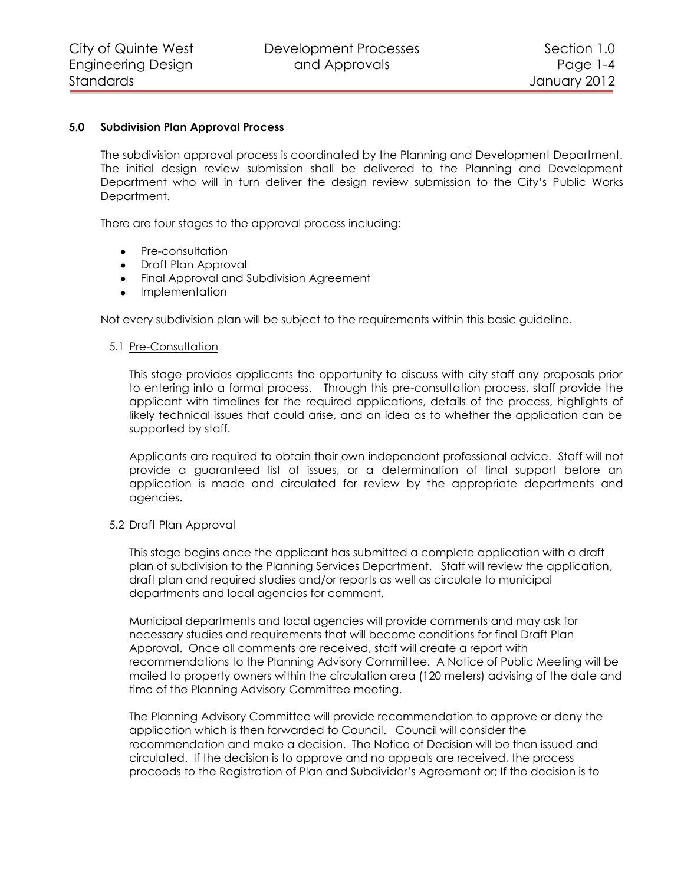### **5.0 Subdivision Plan Approval Process**

<span id="page-3-0"></span>The subdivision approval process is coordinated by the Planning and Development Department. The initial design review submission shall be delivered to the Planning and Development Department who will in turn deliver the design review submission to the City's Public Works Department.

There are four stages to the approval process including:

- Pre-consultation
- Draft Plan Approval
- **•** Final Approval and Subdivision Agreement
- Implementation

Not every subdivision plan will be subject to the requirements within this basic guideline.

#### <span id="page-3-1"></span>5.1 Pre-Consultation

This stage provides applicants the opportunity to discuss with city staff any proposals prior to entering into a formal process. Through this pre-consultation process, staff provide the applicant with timelines for the required applications, details of the process, highlights of likely technical issues that could arise, and an idea as to whether the application can be supported by staff.

Applicants are required to obtain their own independent professional advice. Staff will not provide a guaranteed list of issues, or a determination of final support before an application is made and circulated for review by the appropriate departments and agencies.

#### <span id="page-3-2"></span>5.2 Draft Plan Approval

This stage begins once the applicant has submitted a complete application with a draft plan of subdivision to the Planning Services Department. Staff will review the application, draft plan and required studies and/or reports as well as circulate to municipal departments and local agencies for comment.

Municipal departments and local agencies will provide comments and may ask for necessary studies and requirements that will become conditions for final Draft Plan Approval. Once all comments are received, staff will create a report with recommendations to the Planning Advisory Committee. A Notice of Public Meeting will be mailed to property owners within the circulation area (120 meters) advising of the date and time of the Planning Advisory Committee meeting.

The Planning Advisory Committee will provide recommendation to approve or deny the application which is then forwarded to Council. Council will consider the recommendation and make a decision. The Notice of Decision will be then issued and circulated. If the decision is to approve and no appeals are received, the process proceeds to the Registration of Plan and Subdivider's Agreement or; If the decision is to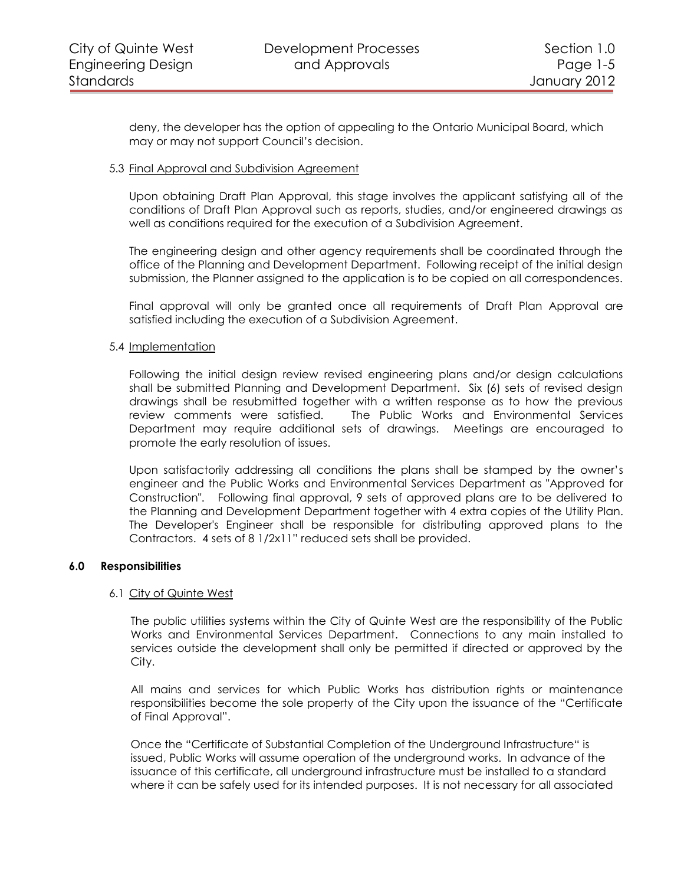deny, the developer has the option of appealing to the Ontario Municipal Board, which may or may not support Council's decision.

### <span id="page-4-0"></span>5.3 Final Approval and Subdivision Agreement

Upon obtaining Draft Plan Approval, this stage involves the applicant satisfying all of the conditions of Draft Plan Approval such as reports, studies, and/or engineered drawings as well as conditions required for the execution of a Subdivision Agreement.

The engineering design and other agency requirements shall be coordinated through the office of the Planning and Development Department. Following receipt of the initial design submission, the Planner assigned to the application is to be copied on all correspondences.

Final approval will only be granted once all requirements of Draft Plan Approval are satisfied including the execution of a Subdivision Agreement.

# <span id="page-4-1"></span>5.4 Implementation

Following the initial design review revised engineering plans and/or design calculations shall be submitted Planning and Development Department. Six (6) sets of revised design drawings shall be resubmitted together with a written response as to how the previous review comments were satisfied. The Public Works and Environmental Services Department may require additional sets of drawings. Meetings are encouraged to promote the early resolution of issues.

Upon satisfactorily addressing all conditions the plans shall be stamped by the owner's engineer and the Public Works and Environmental Services Department as "Approved for Construction". Following final approval, 9 sets of approved plans are to be delivered to the Planning and Development Department together with 4 extra copies of the Utility Plan. The Developer's Engineer shall be responsible for distributing approved plans to the Contractors. 4 sets of 8 1/2x11" reduced sets shall be provided.

# <span id="page-4-2"></span>**6.0 Responsibilities**

#### <span id="page-4-3"></span>6.1 City of Quinte West

The public utilities systems within the City of Quinte West are the responsibility of the Public Works and Environmental Services Department. Connections to any main installed to services outside the development shall only be permitted if directed or approved by the City.

All mains and services for which Public Works has distribution rights or maintenance responsibilities become the sole property of the City upon the issuance of the "Certificate of Final Approval".

Once the "Certificate of Substantial Completion of the Underground Infrastructure" is issued, Public Works will assume operation of the underground works. In advance of the issuance of this certificate, all underground infrastructure must be installed to a standard where it can be safely used for its intended purposes. It is not necessary for all associated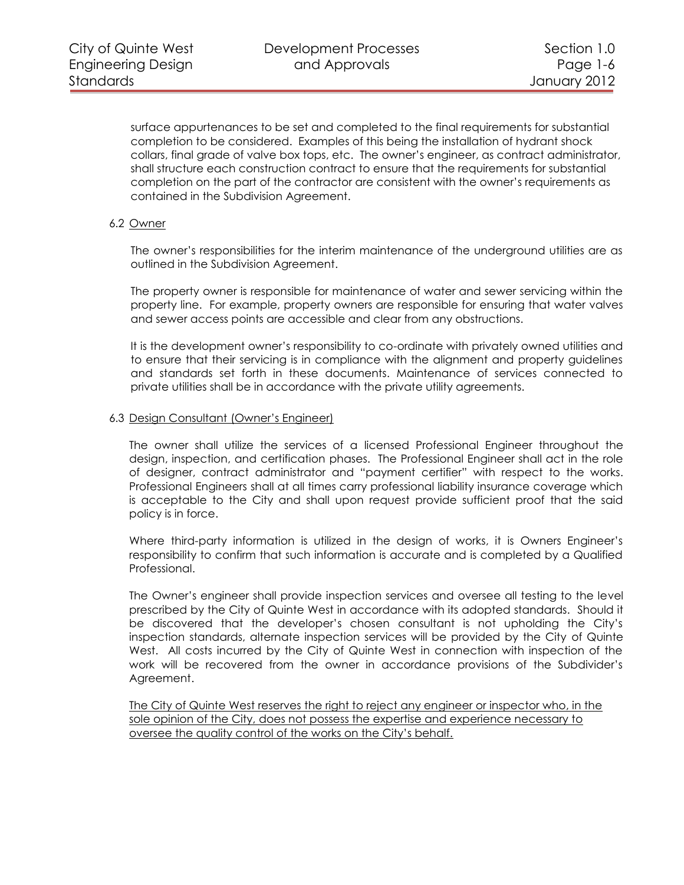surface appurtenances to be set and completed to the final requirements for substantial completion to be considered. Examples of this being the installation of hydrant shock collars, final grade of valve box tops, etc. The owner's engineer, as contract administrator, shall structure each construction contract to ensure that the requirements for substantial completion on the part of the contractor are consistent with the owner's requirements as contained in the Subdivision Agreement.

### <span id="page-5-0"></span>6.2 Owner

The owner's responsibilities for the interim maintenance of the underground utilities are as outlined in the Subdivision Agreement.

The property owner is responsible for maintenance of water and sewer servicing within the property line. For example, property owners are responsible for ensuring that water valves and sewer access points are accessible and clear from any obstructions.

It is the development owner's responsibility to co-ordinate with privately owned utilities and to ensure that their servicing is in compliance with the alignment and property guidelines and standards set forth in these documents. Maintenance of services connected to private utilities shall be in accordance with the private utility agreements.

### <span id="page-5-1"></span>6.3 Design Consultant (Owner's Engineer)

The owner shall utilize the services of a licensed Professional Engineer throughout the design, inspection, and certification phases. The Professional Engineer shall act in the role of designer, contract administrator and "payment certifier" with respect to the works. Professional Engineers shall at all times carry professional liability insurance coverage which is acceptable to the City and shall upon request provide sufficient proof that the said policy is in force.

Where third-party information is utilized in the design of works, it is Owners Engineer's responsibility to confirm that such information is accurate and is completed by a Qualified Professional.

The Owner's engineer shall provide inspection services and oversee all testing to the level prescribed by the City of Quinte West in accordance with its adopted standards. Should it be discovered that the developer's chosen consultant is not upholding the City's inspection standards, alternate inspection services will be provided by the City of Quinte West. All costs incurred by the City of Quinte West in connection with inspection of the work will be recovered from the owner in accordance provisions of the Subdivider's Agreement.

The City of Quinte West reserves the right to reject any engineer or inspector who, in the sole opinion of the City, does not possess the expertise and experience necessary to oversee the quality control of the works on the City's behalf.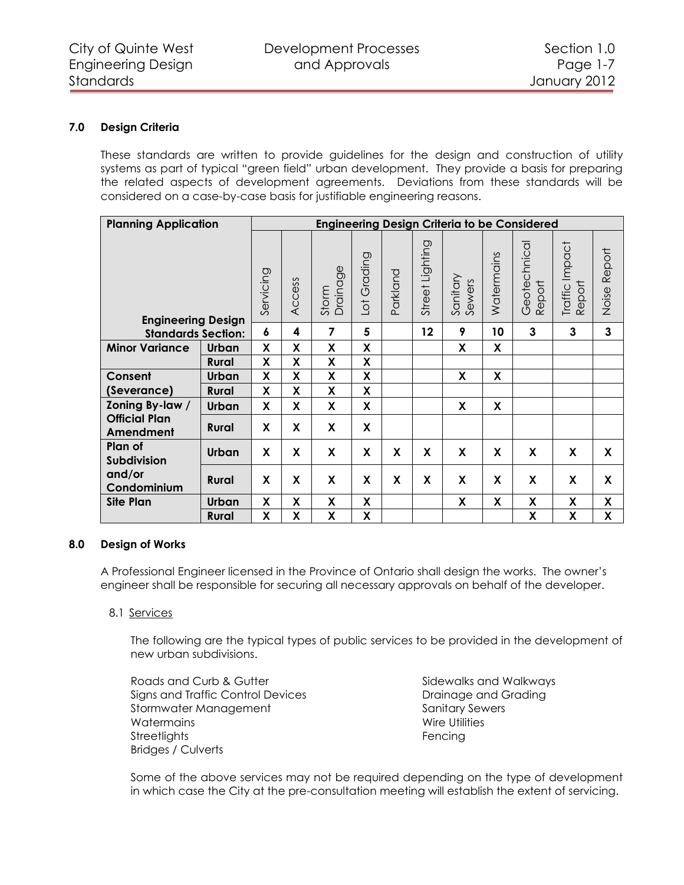# **7.0 Design Criteria**

<span id="page-6-0"></span>These standards are written to provide guidelines for the design and construction of utility systems as part of typical "green field" urban development. They provide a basis for preparing the related aspects of development agreements. Deviations from these standards will be considered on a case-by-case basis for justifiable engineering reasons.

| <b>Planning Application</b>       |              | <b>Engineering Design Criteria to be Considered</b> |        |                           |             |          |                 |                           |            |                               |                                 |                           |
|-----------------------------------|--------------|-----------------------------------------------------|--------|---------------------------|-------------|----------|-----------------|---------------------------|------------|-------------------------------|---------------------------------|---------------------------|
| <b>Engineering Design</b>         |              | Servicing                                           | Access | Drainage<br>Storm         | Lot Grading | Parkland | Street Lighting | Sanitary<br>Sewers        | Watermains | Geotechnical<br><b>Report</b> | Traffic Impact<br><b>Report</b> | Noise Report              |
| <b>Standards Section:</b>         |              | 6                                                   | 4      | $\overline{\mathbf{z}}$   | 5           |          | 12              | 9                         | 10         | $\mathbf{3}$                  | 3                               | $\mathbf{3}$              |
| <b>Minor Variance</b>             | Urban        | X                                                   | X      | X                         | X           |          |                 | X                         | X          |                               |                                 |                           |
|                                   | <b>Rural</b> | X                                                   | X      | X                         | X           |          |                 |                           |            |                               |                                 |                           |
| Consent                           | <b>Urban</b> | X                                                   | X      | X                         | X           |          |                 | X                         | X          |                               |                                 |                           |
| (Severance)                       | <b>Rural</b> | X                                                   | X      | X                         | X           |          |                 |                           |            |                               |                                 |                           |
| Zoning By-law /                   | Urban        | X                                                   | X      | X                         | X           |          |                 | X                         | X          |                               |                                 |                           |
| <b>Official Plan</b><br>Amendment | <b>Rural</b> | X                                                   | X      | X                         | X           |          |                 |                           |            |                               |                                 |                           |
| Plan of<br><b>Subdivision</b>     | Urban        | X                                                   | X      | X                         | X           | X        | X               | X                         | X          | X                             | X                               | X                         |
| and/or<br>Condominium             | <b>Rural</b> | X                                                   | X      | X                         | X           | X        | X               | X                         | X          | X                             | X                               | X                         |
| <b>Site Plan</b>                  | Urban        | X                                                   | X      | $\pmb{\mathsf{X}}$        | X           |          |                 | $\boldsymbol{\mathsf{X}}$ | X          | χ                             | χ                               | $\pmb{\mathsf{X}}$        |
|                                   | <b>Rural</b> | X                                                   | X      | $\boldsymbol{\mathsf{X}}$ | X           |          |                 |                           |            | $\boldsymbol{\mathsf{X}}$     | X                               | $\boldsymbol{\mathsf{X}}$ |

#### **8.0 Design of Works**

<span id="page-6-1"></span>A Professional Engineer licensed in the Province of Ontario shall design the works. The owner's engineer shall be responsible for securing all necessary approvals on behalf of the developer.

<span id="page-6-2"></span>8.1 Services

The following are the typical types of public services to be provided in the development of new urban subdivisions.

Roads and Curb & Gutter Sidewalks and Walkways Signs and Traffic Control Devices **Drainage and Grading** Stormwater Management Stormwater Management Watermains **Wire Utilities** Streetlights **Fencing** Bridges / Culverts

Some of the above services may not be required depending on the type of development in which case the City at the pre-consultation meeting will establish the extent of servicing.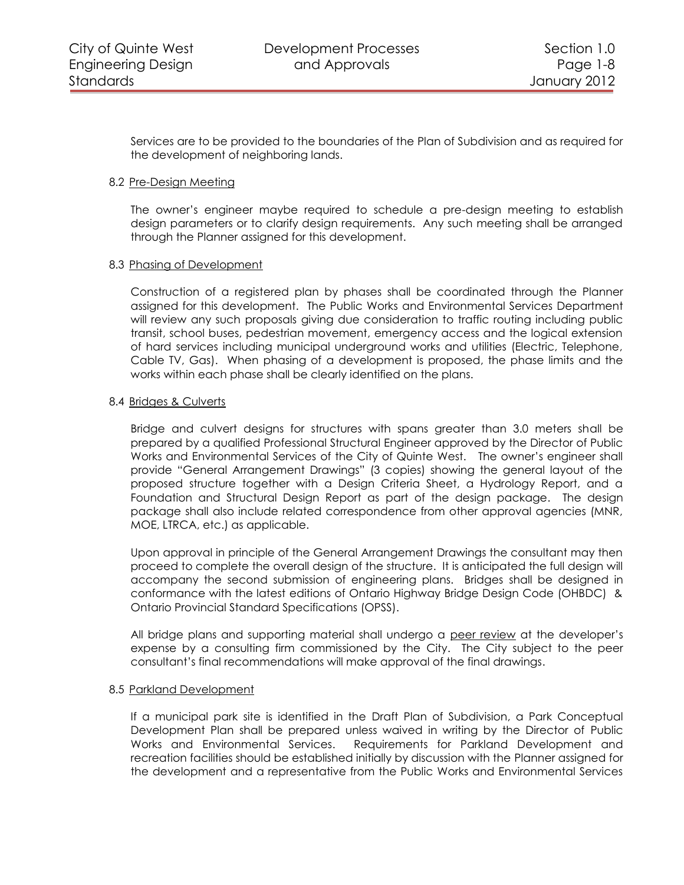Services are to be provided to the boundaries of the Plan of Subdivision and as required for the development of neighboring lands.

# <span id="page-7-0"></span>8.2 Pre-Design Meeting

The owner's engineer maybe required to schedule a pre-design meeting to establish design parameters or to clarify design requirements. Any such meeting shall be arranged through the Planner assigned for this development.

### <span id="page-7-1"></span>8.3 Phasing of Development

Construction of a registered plan by phases shall be coordinated through the Planner assigned for this development. The Public Works and Environmental Services Department will review any such proposals giving due consideration to traffic routing including public transit, school buses, pedestrian movement, emergency access and the logical extension of hard services including municipal underground works and utilities (Electric, Telephone, Cable TV, Gas). When phasing of a development is proposed, the phase limits and the works within each phase shall be clearly identified on the plans.

### <span id="page-7-2"></span>8.4 Bridges & Culverts

Bridge and culvert designs for structures with spans greater than 3.0 meters shall be prepared by a qualified Professional Structural Engineer approved by the Director of Public Works and Environmental Services of the City of Quinte West. The owner's engineer shall provide "General Arrangement Drawings" (3 copies) showing the general layout of the proposed structure together with a Design Criteria Sheet, a Hydrology Report, and a Foundation and Structural Design Report as part of the design package. The design package shall also include related correspondence from other approval agencies (MNR, MOE, LTRCA, etc.) as applicable.

Upon approval in principle of the General Arrangement Drawings the consultant may then proceed to complete the overall design of the structure. It is anticipated the full design will accompany the second submission of engineering plans. Bridges shall be designed in conformance with the latest editions of Ontario Highway Bridge Design Code (OHBDC) & Ontario Provincial Standard Specifications (OPSS).

All bridge plans and supporting material shall undergo a peer review at the developer's expense by a consulting firm commissioned by the City. The City subject to the peer consultant's final recommendations will make approval of the final drawings.

#### <span id="page-7-3"></span>8.5 Parkland Development

If a municipal park site is identified in the Draft Plan of Subdivision, a Park Conceptual Development Plan shall be prepared unless waived in writing by the Director of Public Works and Environmental Services. Requirements for Parkland Development and recreation facilities should be established initially by discussion with the Planner assigned for the development and a representative from the Public Works and Environmental Services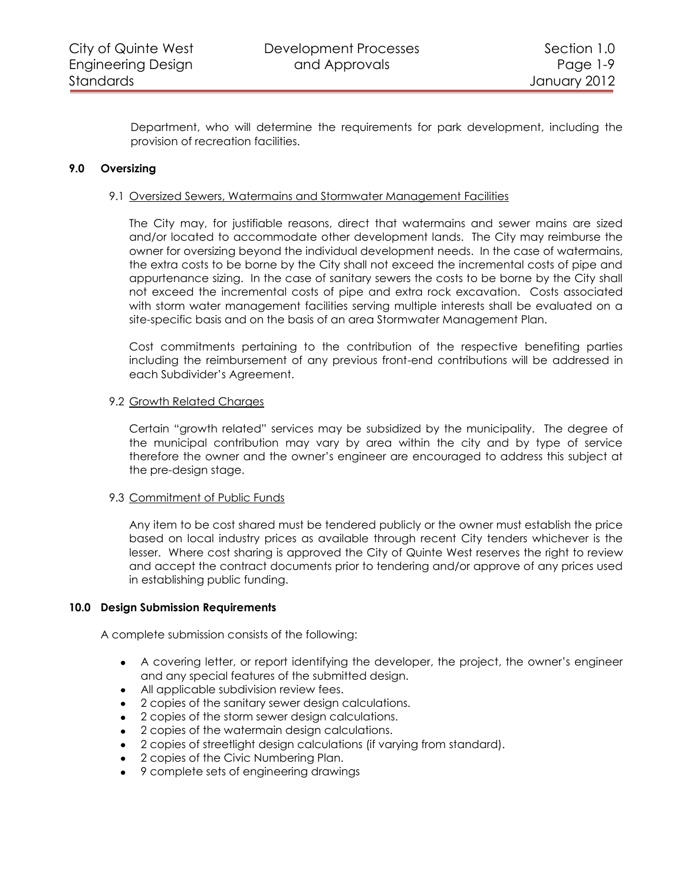Department, who will determine the requirements for park development, including the provision of recreation facilities.

# <span id="page-8-0"></span>**9.0 Oversizing**

### <span id="page-8-1"></span>9.1 Oversized Sewers, Watermains and Stormwater Management Facilities

The City may, for justifiable reasons, direct that watermains and sewer mains are sized and/or located to accommodate other development lands. The City may reimburse the owner for oversizing beyond the individual development needs. In the case of watermains, the extra costs to be borne by the City shall not exceed the incremental costs of pipe and appurtenance sizing. In the case of sanitary sewers the costs to be borne by the City shall not exceed the incremental costs of pipe and extra rock excavation. Costs associated with storm water management facilities serving multiple interests shall be evaluated on a site-specific basis and on the basis of an area Stormwater Management Plan.

Cost commitments pertaining to the contribution of the respective benefiting parties including the reimbursement of any previous front-end contributions will be addressed in each Subdivider's Agreement.

### <span id="page-8-2"></span>9.2 Growth Related Charges

Certain "growth related" services may be subsidized by the municipality. The degree of the municipal contribution may vary by area within the city and by type of service therefore the owner and the owner's engineer are encouraged to address this subject at the pre-design stage.

#### <span id="page-8-3"></span>9.3 Commitment of Public Funds

Any item to be cost shared must be tendered publicly or the owner must establish the price based on local industry prices as available through recent City tenders whichever is the lesser. Where cost sharing is approved the City of Quinte West reserves the right to review and accept the contract documents prior to tendering and/or approve of any prices used in establishing public funding.

#### <span id="page-8-4"></span>**10.0 Design Submission Requirements**

A complete submission consists of the following:

- A covering letter, or report identifying the developer, the project, the owner's engineer and any special features of the submitted design.
- All applicable subdivision review fees.
- 2 copies of the sanitary sewer design calculations.
- 2 copies of the storm sewer design calculations.
- 2 copies of the watermain design calculations.
- 2 copies of streetlight design calculations (if varying from standard).
- 2 copies of the Civic Numbering Plan.
- 9 complete sets of engineering drawings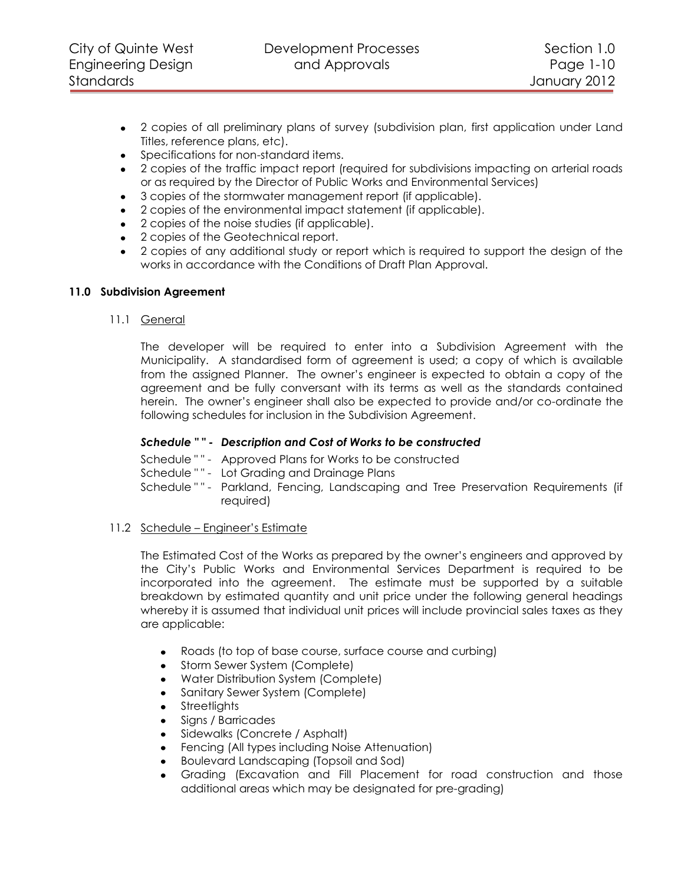- 2 copies of all preliminary plans of survey (subdivision plan, first application under Land Titles, reference plans, etc).
- Specifications for non-standard items.
- 2 copies of the traffic impact report (required for subdivisions impacting on arterial roads or as required by the Director of Public Works and Environmental Services)
- 3 copies of the stormwater management report (if applicable).
- 2 copies of the environmental impact statement (if applicable).
- 2 copies of the noise studies (if applicable).
- 2 copies of the Geotechnical report.
- 2 copies of any additional study or report which is required to support the design of the works in accordance with the Conditions of Draft Plan Approval.

# **11.0 Subdivision Agreement**

<span id="page-9-0"></span>11.1 General

The developer will be required to enter into a Subdivision Agreement with the Municipality. A standardised form of agreement is used; a copy of which is available from the assigned Planner. The owner's engineer is expected to obtain a copy of the agreement and be fully conversant with its terms as well as the standards contained herein. The owner's engineer shall also be expected to provide and/or co-ordinate the following schedules for inclusion in the Subdivision Agreement.

# *Schedule " " - Description and Cost of Works to be constructed*

Schedule " " - Approved Plans for Works to be constructed

Schedule "" - Lot Grading and Drainage Plans

Schedule " " - Parkland, Fencing, Landscaping and Tree Preservation Requirements (if required)

# <span id="page-9-1"></span>11.2 Schedule – Engineer's Estimate

The Estimated Cost of the Works as prepared by the owner's engineers and approved by the City's Public Works and Environmental Services Department is required to be incorporated into the agreement. The estimate must be supported by a suitable breakdown by estimated quantity and unit price under the following general headings whereby it is assumed that individual unit prices will include provincial sales taxes as they are applicable:

- Roads (to top of base course, surface course and curbing)
- Storm Sewer System (Complete)
- Water Distribution System (Complete)
- Sanitary Sewer System (Complete)  $\bullet$
- Streetlights
- Signs / Barricades  $\bullet$
- Sidewalks (Concrete / Asphalt)  $\bullet$
- Fencing (All types including Noise Attenuation)  $\bullet$
- Boulevard Landscaping (Topsoil and Sod)
- Grading (Excavation and Fill Placement for road construction and those additional areas which may be designated for pre-grading)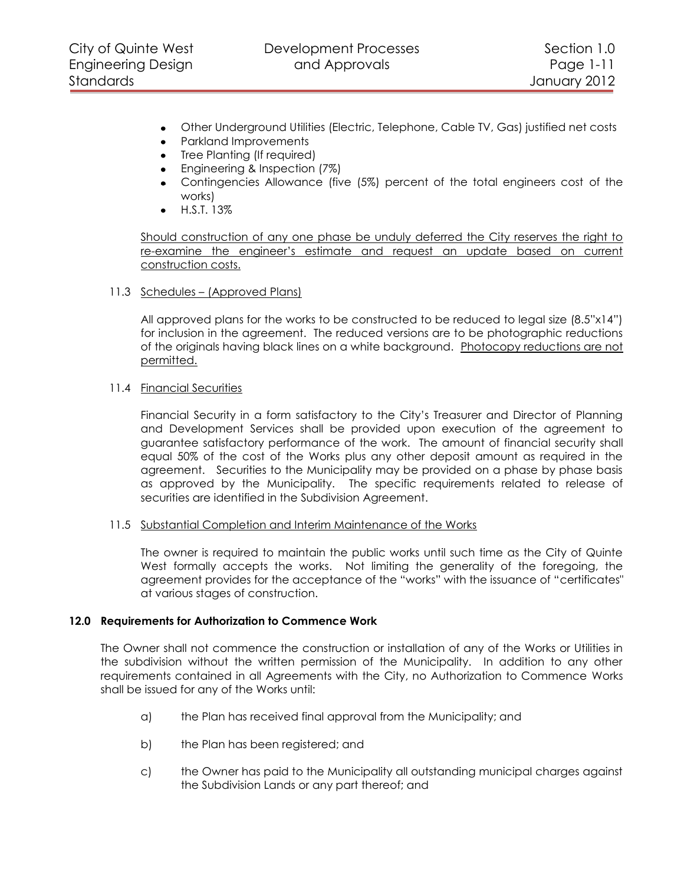- Other Underground Utilities (Electric, Telephone, Cable TV, Gas) justified net costs
- Parkland Improvements
- Tree Planting (If required)
- Engineering & Inspection (7%)  $\bullet$
- Contingencies Allowance (five (5%) percent of the total engineers cost of the works)
- H.S.T. 13%

Should construction of any one phase be unduly deferred the City reserves the right to re-examine the engineer's estimate and request an update based on current construction costs.

<span id="page-10-0"></span>11.3 Schedules – (Approved Plans)

All approved plans for the works to be constructed to be reduced to legal size (8.5"x14") for inclusion in the agreement. The reduced versions are to be photographic reductions of the originals having black lines on a white background. Photocopy reductions are not permitted.

<span id="page-10-1"></span>11.4 Financial Securities

Financial Security in a form satisfactory to the City's Treasurer and Director of Planning and Development Services shall be provided upon execution of the agreement to guarantee satisfactory performance of the work. The amount of financial security shall equal 50% of the cost of the Works plus any other deposit amount as required in the agreement. Securities to the Municipality may be provided on a phase by phase basis as approved by the Municipality. The specific requirements related to release of securities are identified in the Subdivision Agreement.

<span id="page-10-2"></span>11.5 Substantial Completion and Interim Maintenance of the Works

The owner is required to maintain the public works until such time as the City of Quinte West formally accepts the works. Not limiting the generality of the foregoing, the agreement provides for the acceptance of the "works" with the issuance of "certificates" at various stages of construction.

# **12.0 Requirements for Authorization to Commence Work**

<span id="page-10-3"></span>The Owner shall not commence the construction or installation of any of the Works or Utilities in the subdivision without the written permission of the Municipality. In addition to any other requirements contained in all Agreements with the City, no Authorization to Commence Works shall be issued for any of the Works until:

- a) the Plan has received final approval from the Municipality; and
- b) the Plan has been registered; and
- c) the Owner has paid to the Municipality all outstanding municipal charges against the Subdivision Lands or any part thereof; and